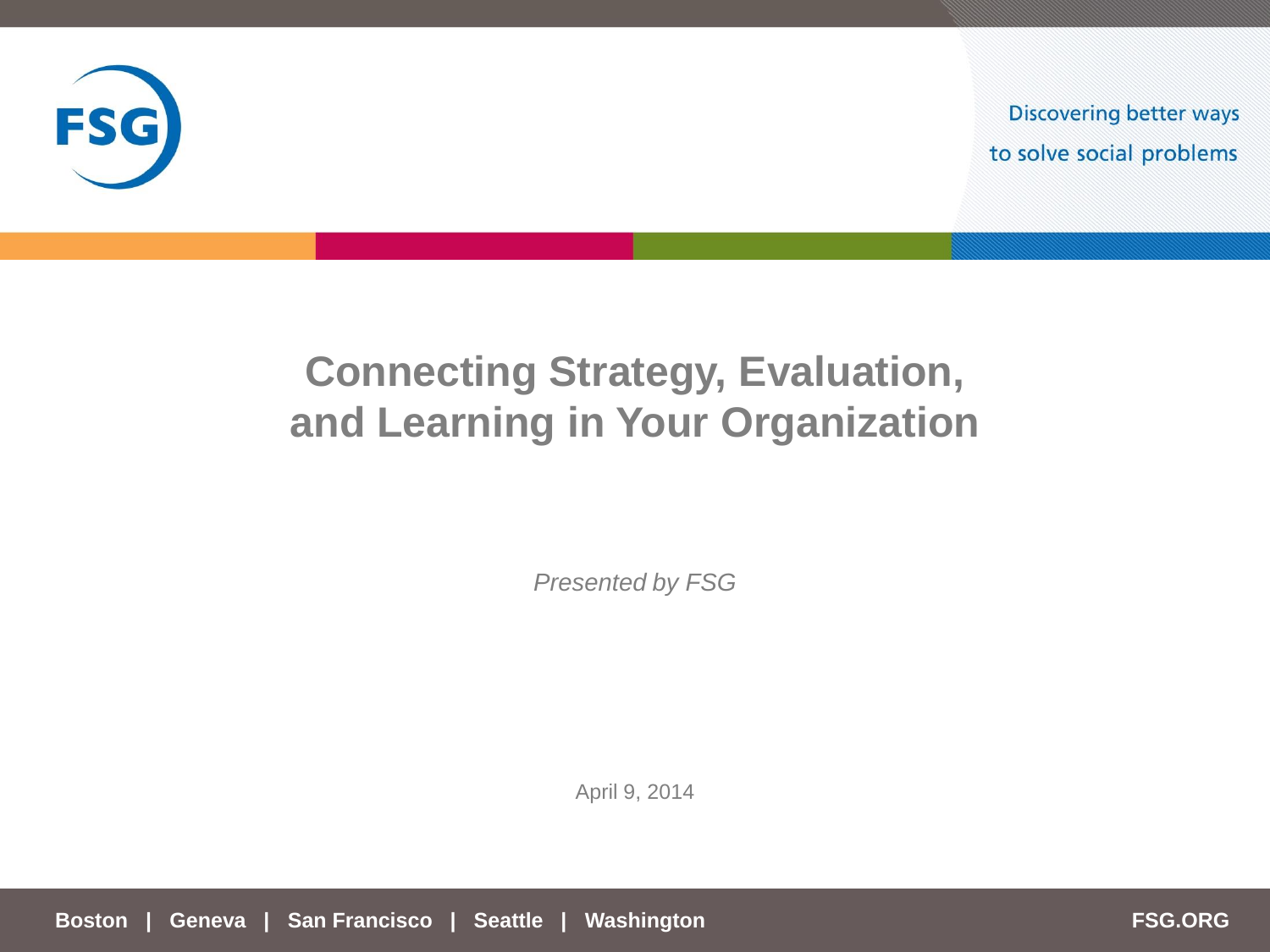

**Discovering better ways** to solve social problems

# **Connecting Strategy, Evaluation, and Learning in Your Organization**

*Presented by FSG* 

April 9, 2014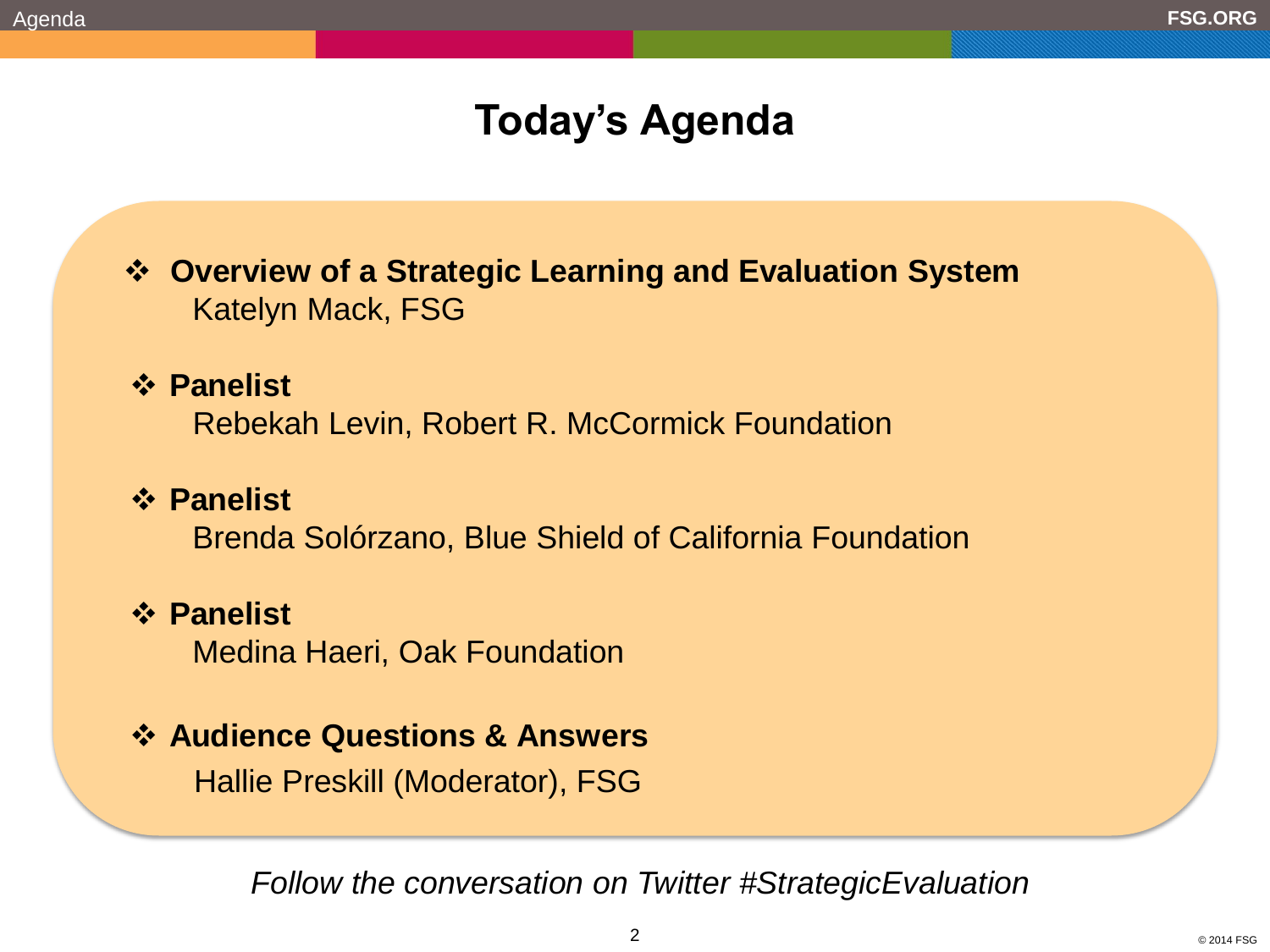# **Today's Agenda**

 **Overview of a Strategic Learning and Evaluation System**  Katelyn Mack, FSG

### **Panelist**

Rebekah Levin, Robert R. McCormick Foundation

### **Panelist**

Brenda Solórzano, Blue Shield of California Foundation

### **Panelist**

Medina Haeri, Oak Foundation

### **Audience Questions & Answers**

Hallie Preskill (Moderator), FSG

*Follow the conversation on Twitter #StrategicEvaluation*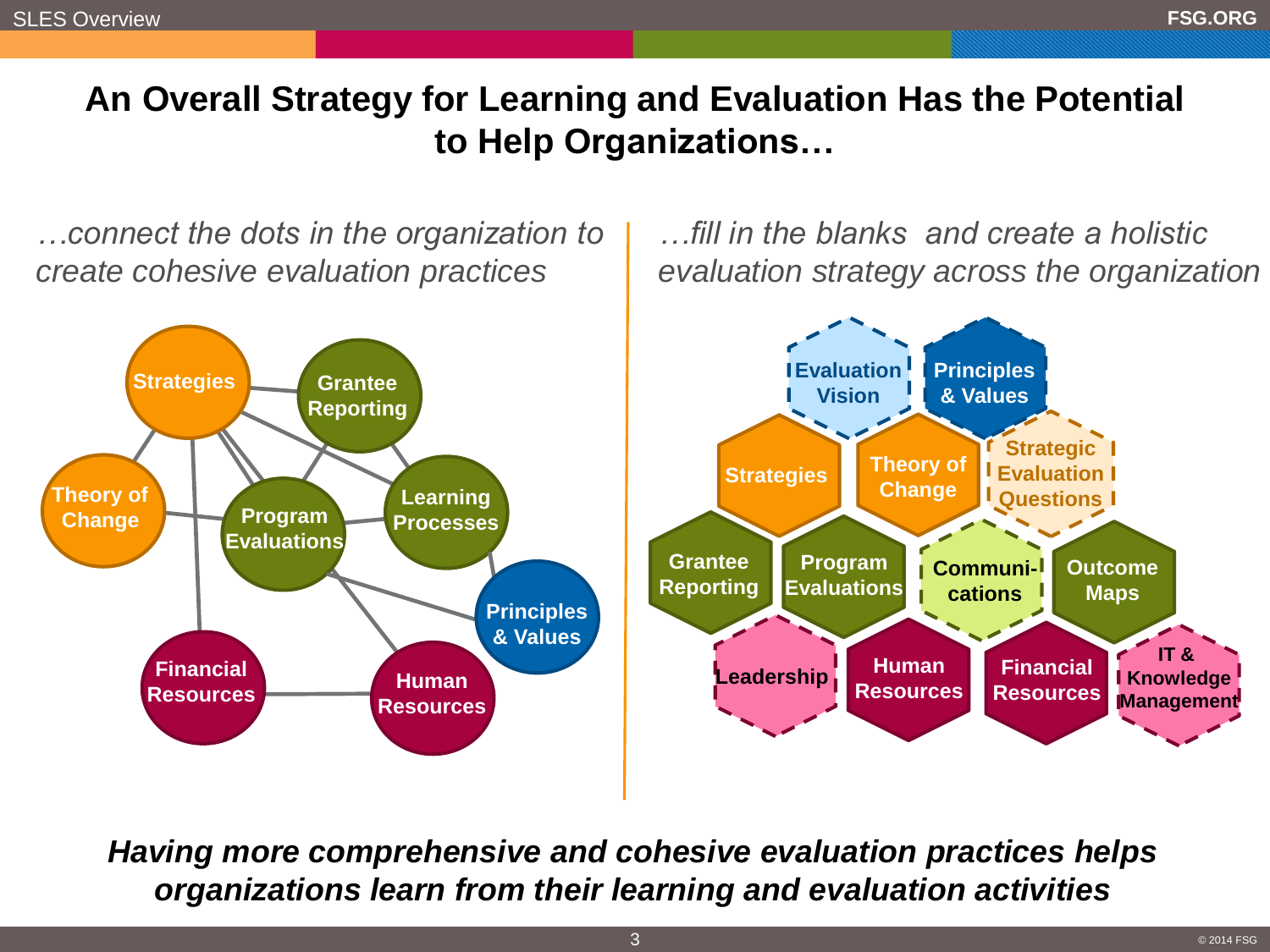# **An Overall Strategy for Learning and Evaluation Has the Potential to Help Organizations…**

*…connect the dots in the organization to create cohesive evaluation practices*



*…fill in the blanks and create a holistic evaluation strategy across the organization*



*Having more comprehensive and cohesive evaluation practices helps organizations learn from their learning and evaluation activities*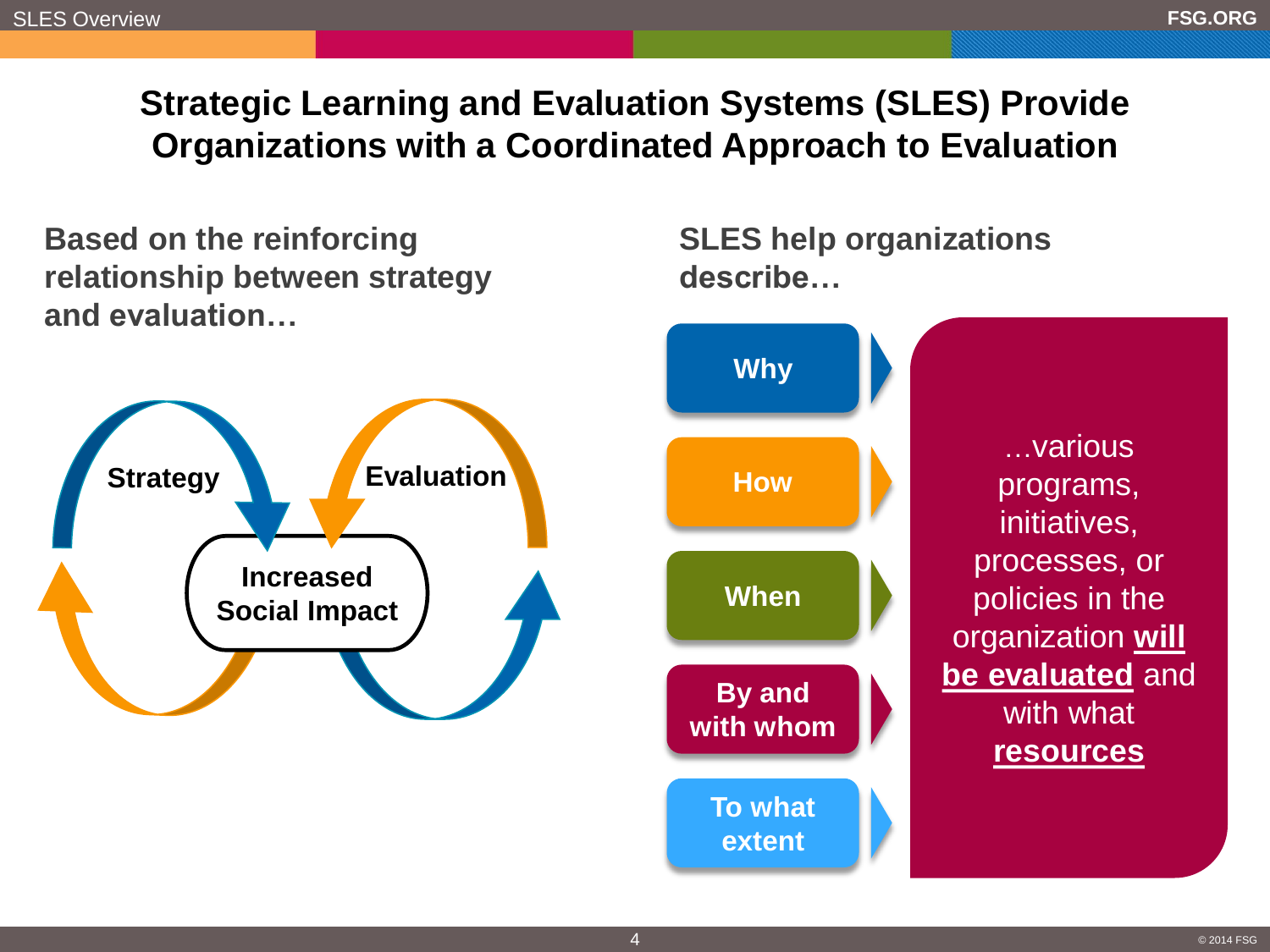# **Strategic Learning and Evaluation Systems (SLES) Provide Organizations with a Coordinated Approach to Evaluation**

**Based on the reinforcing relationship between strategy and evaluation…**



**SLES help organizations describe…**

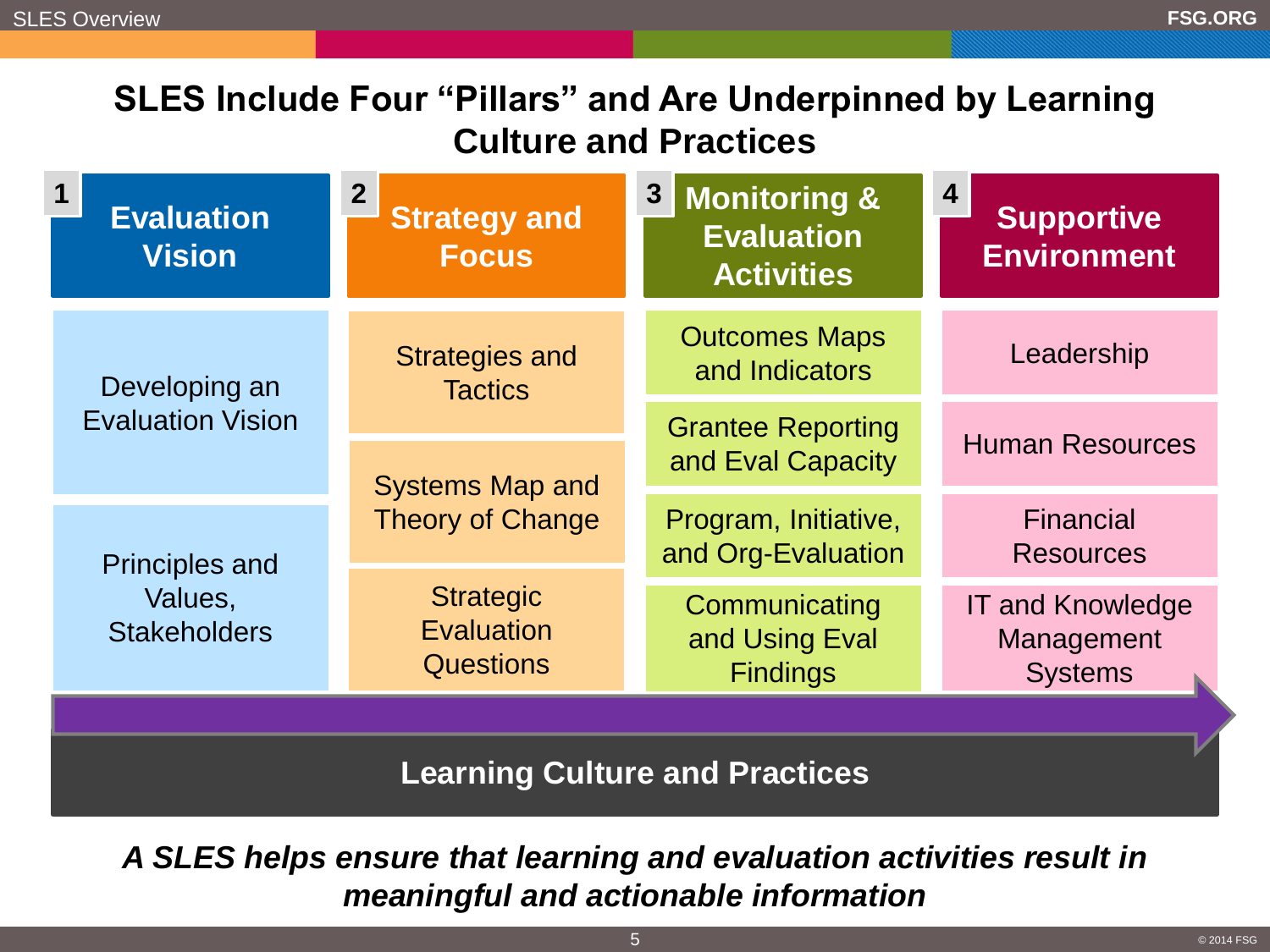# **SLES Include Four "Pillars" and Are Underpinned by Learning Culture and Practices**

| <b>Evaluation</b><br><b>Vision</b>                      | 2 <sup>2</sup><br><b>Strategy and</b><br><b>Focus</b> | $\boldsymbol{3}$<br><b>Monitoring &amp;</b><br><b>Evaluation</b><br><b>Activities</b> | 4<br><b>Supportive</b><br><b>Environment</b>            |
|---------------------------------------------------------|-------------------------------------------------------|---------------------------------------------------------------------------------------|---------------------------------------------------------|
| Developing an<br><b>Evaluation Vision</b>               | <b>Strategies and</b><br><b>Tactics</b>               | <b>Outcomes Maps</b><br>and Indicators                                                | Leadership                                              |
|                                                         | <b>Systems Map and</b><br><b>Theory of Change</b>     | <b>Grantee Reporting</b><br>and Eval Capacity                                         | <b>Human Resources</b>                                  |
| <b>Principles and</b><br>Values,<br><b>Stakeholders</b> |                                                       | Program, Initiative,<br>and Org-Evaluation                                            | <b>Financial</b><br><b>Resources</b>                    |
|                                                         | <b>Strategic</b><br>Evaluation<br><b>Questions</b>    | Communicating<br>and Using Eval<br><b>Findings</b>                                    | <b>IT and Knowledge</b><br>Management<br><b>Systems</b> |
|                                                         |                                                       |                                                                                       |                                                         |

**Learning Culture and Practices**

*A SLES helps ensure that learning and evaluation activities result in meaningful and actionable information*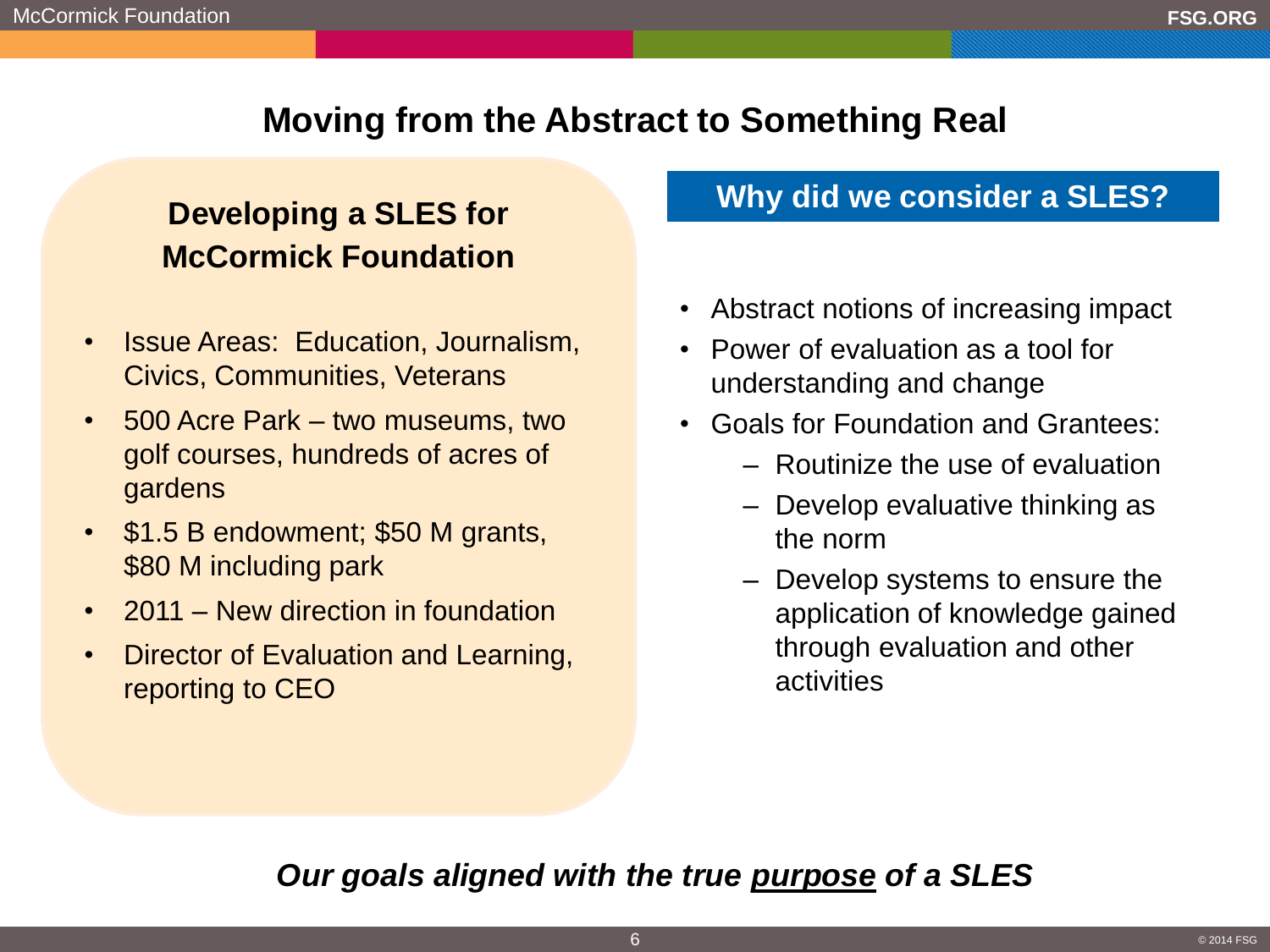# **Moving from the Abstract to Something Real**

# **Developing a SLES for McCormick Foundation**

- Issue Areas: Education, Journalism, Civics, Communities, Veterans
- 500 Acre Park two museums, two golf courses, hundreds of acres of gardens
- \$1.5 B endowment; \$50 M grants, \$80 M including park
- 2011 New direction in foundation
- Director of Evaluation and Learning, reporting to CEO

# **Why did we consider a SLES?**

- Abstract notions of increasing impact
- Power of evaluation as a tool for understanding and change
- Goals for Foundation and Grantees:
	- Routinize the use of evaluation
	- Develop evaluative thinking as the norm
	- Develop systems to ensure the application of knowledge gained through evaluation and other activities

# *Our goals aligned with the true purpose of a SLES*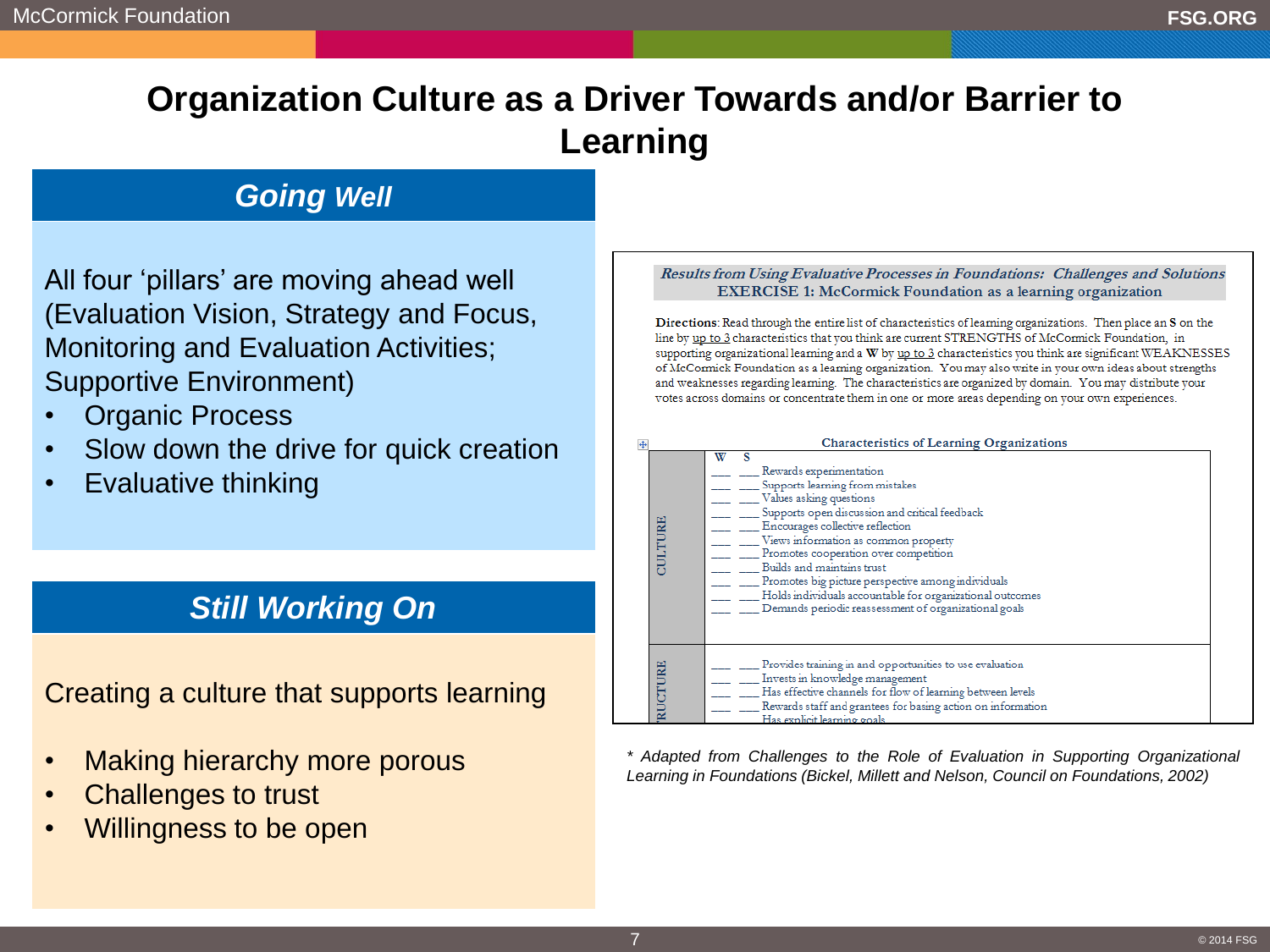# **Organization Culture as a Driver Towards and/or Barrier to Learning**

### *Going Well*

All four 'pillars' are moving ahead well (Evaluation Vision, Strategy and Focus, Monitoring and Evaluation Activities; Supportive Environment)

- **Organic Process**
- Slow down the drive for quick creation
- Evaluative thinking

### *Still Working On*

Creating a culture that supports learning

- Making hierarchy more porous
- Challenges to trust
- Willingness to be open

### Results from Using Evaluative Processes in Foundations: Challenges and Solutions **EXERCISE 1: McCormick Foundation as a learning organization**

Directions: Read through the entire list of characteristics of learning organizations. Then place an S on the line by up to 3 characteristics that you think are current STRENGTHS of McCormick Foundation, in supporting organizational learning and a W by up to 3 characteristics you think are significant WEAKNESSES of McCormick Foundation as a learning organization. You may also write in your own ideas about strengths and weaknesses regarding learning. The characteristics are organized by domain. You may distribute your votes across domains or concentrate them in one or more areas depending on your own experiences.

| <b>Characteristics of Learning Organizations</b> |                                                                                                                                                                                                                                                                                                                                                                                                                                                                             |  |  |
|--------------------------------------------------|-----------------------------------------------------------------------------------------------------------------------------------------------------------------------------------------------------------------------------------------------------------------------------------------------------------------------------------------------------------------------------------------------------------------------------------------------------------------------------|--|--|
| CULTURE                                          | W<br>Rewards experimentation<br>Supports learning from mistakes<br>Values asking questions<br>Supports open discussion and critical feedback<br>Encourages collective reflection<br>Views information as common property<br>Promotes cooperation over competition<br>Builds and maintains trust<br>Promotes big picture perspective among individuals<br>Holds individuals accountable for organizational outcomes<br>Demands periodic reassessment of organizational goals |  |  |
| RUCTURE                                          | Provides training in and opportunities to use evaluation<br>Invests in knowledge management<br>Has effective channels for flow of learning between levels<br>Rewards staff and grantees for basing action on information<br>Has explicit learning goals                                                                                                                                                                                                                     |  |  |

*\* Adapted from Challenges to the Role of Evaluation in Supporting Organizational Learning in Foundations (Bickel, Millett and Nelson, Council on Foundations, 2002)*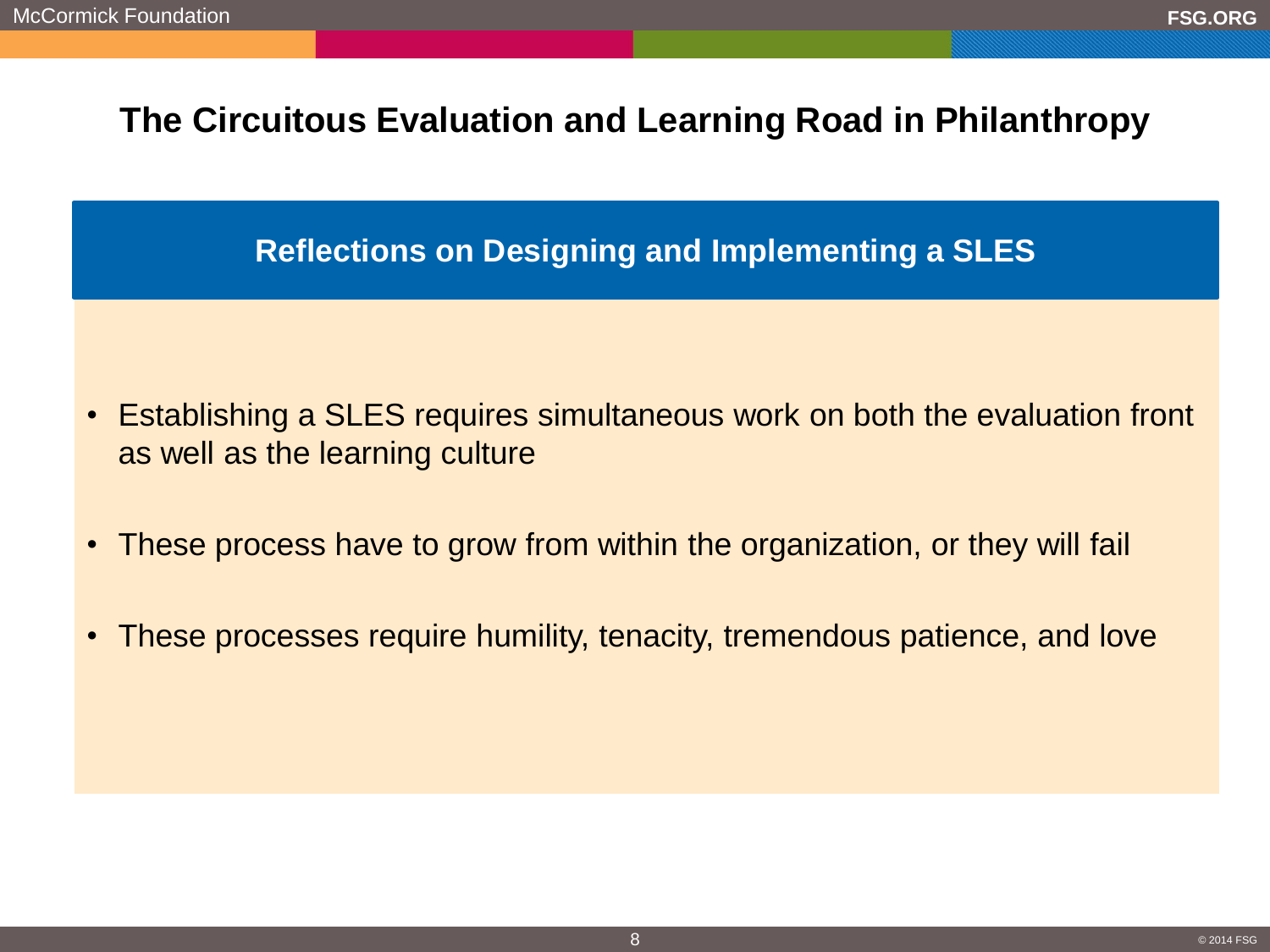# **The Circuitous Evaluation and Learning Road in Philanthropy**

### **Reflections on Designing and Implementing a SLES**

- Establishing a SLES requires simultaneous work on both the evaluation front as well as the learning culture
- These process have to grow from within the organization, or they will fail
- These processes require humility, tenacity, tremendous patience, and love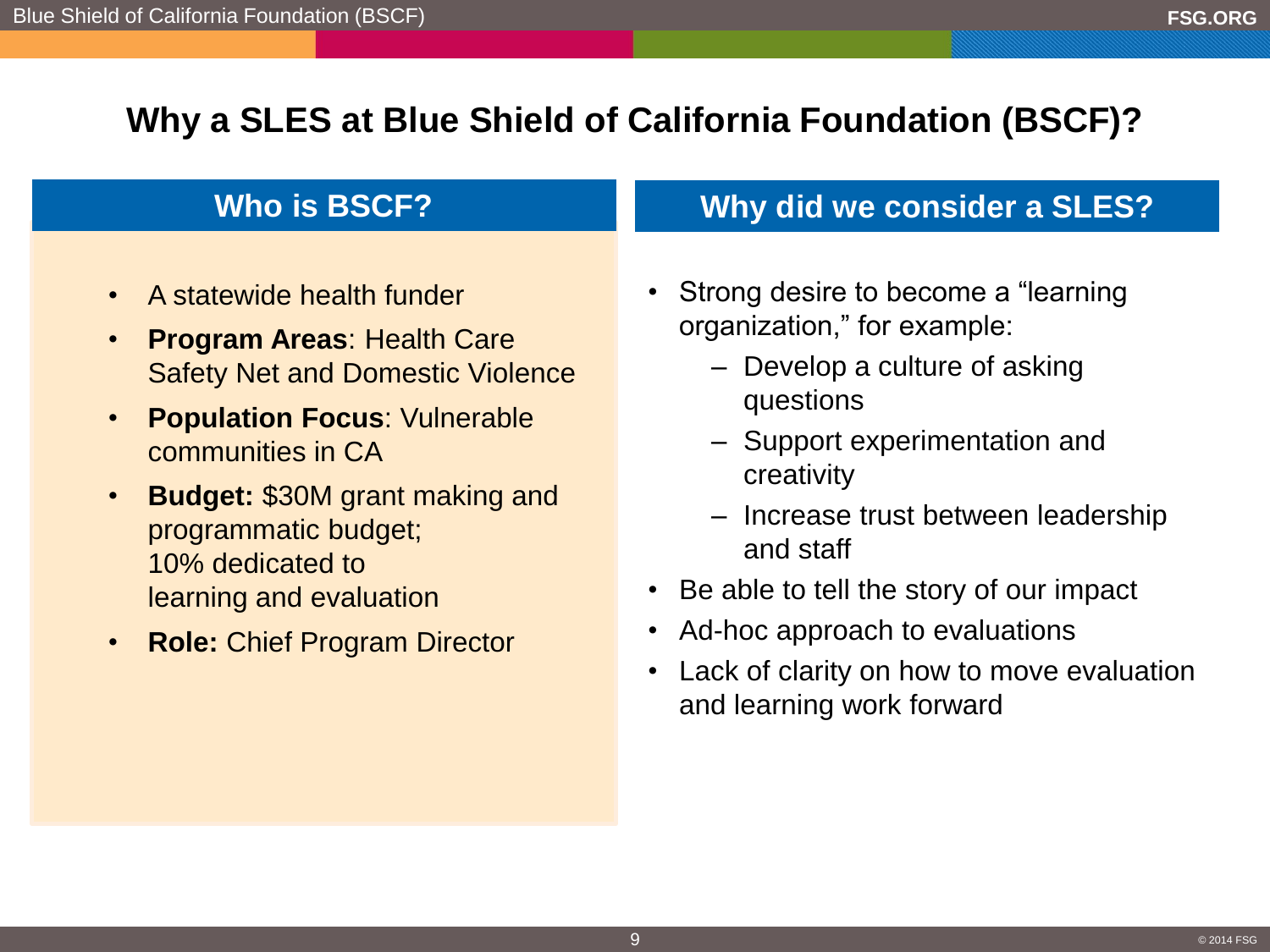# **Why a SLES at Blue Shield of California Foundation (BSCF)?**

- A statewide health funder
- **Program Areas**: Health Care Safety Net and Domestic Violence
- **Population Focus**: Vulnerable communities in CA
- **Budget:** \$30M grant making and programmatic budget; 10% dedicated to learning and evaluation
- **Role:** Chief Program Director

### **Who is BSCF? Why did we consider a SLES?**

- Strong desire to become a "learning organization," for example:
	- Develop a culture of asking questions
	- Support experimentation and creativity
	- Increase trust between leadership and staff
- Be able to tell the story of our impact
- Ad-hoc approach to evaluations
- Lack of clarity on how to move evaluation and learning work forward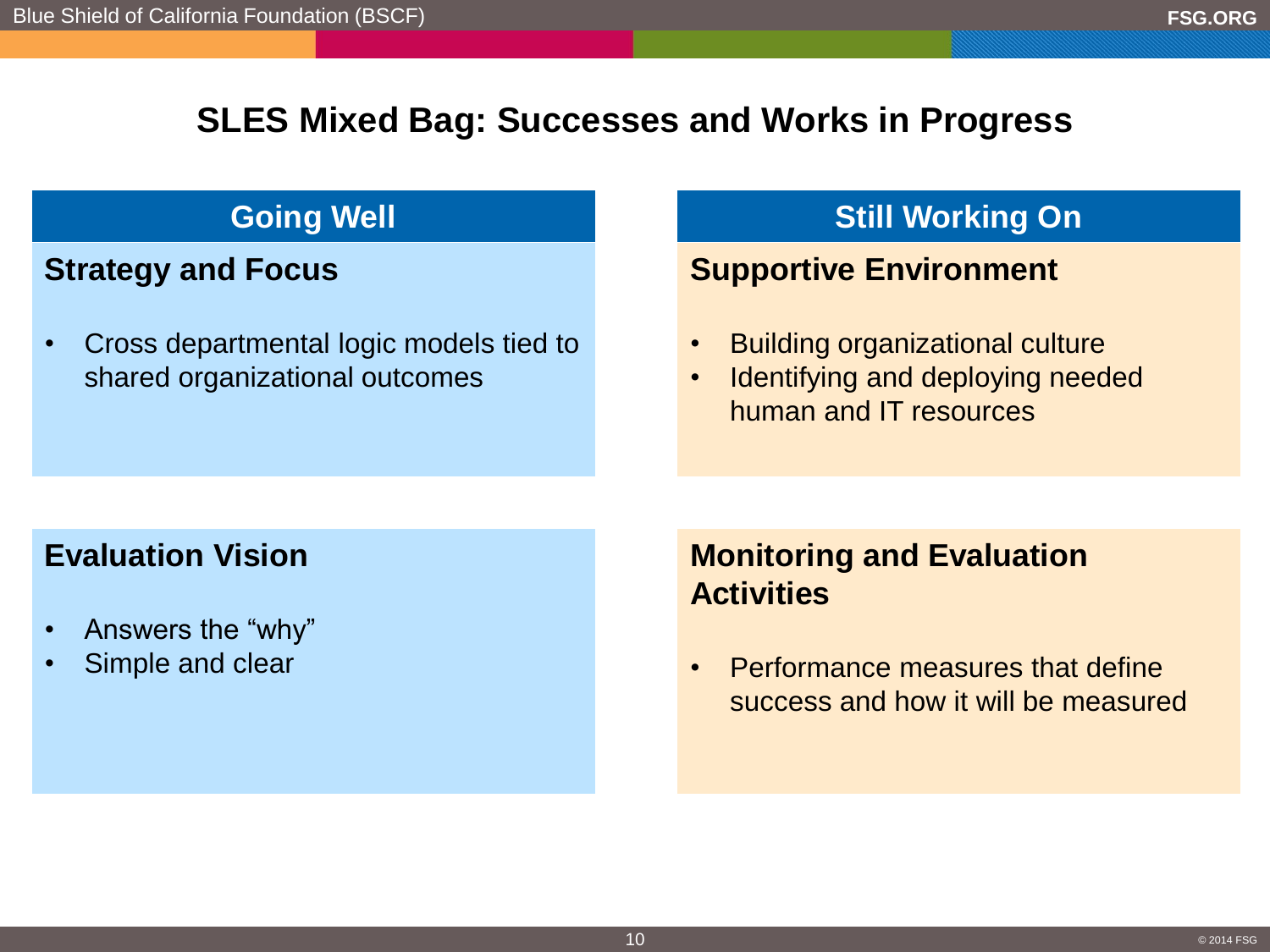# **SLES Mixed Bag: Successes and Works in Progress**

# **Strategy and Focus**

• Cross departmental logic models tied to shared organizational outcomes

# **Going Well Communist Communist Communist Communist Communist Communist Communist Communist Communist Communist Communist Communist Communist Communist Communist Communist Communist Communist Communist Communist Communist**

# **Supportive Environment**

- Building organizational culture
- Identifying and deploying needed human and IT resources

### **Evaluation Vision**

- Answers the "why"
- Simple and clear

# **Monitoring and Evaluation Activities**

• Performance measures that define success and how it will be measured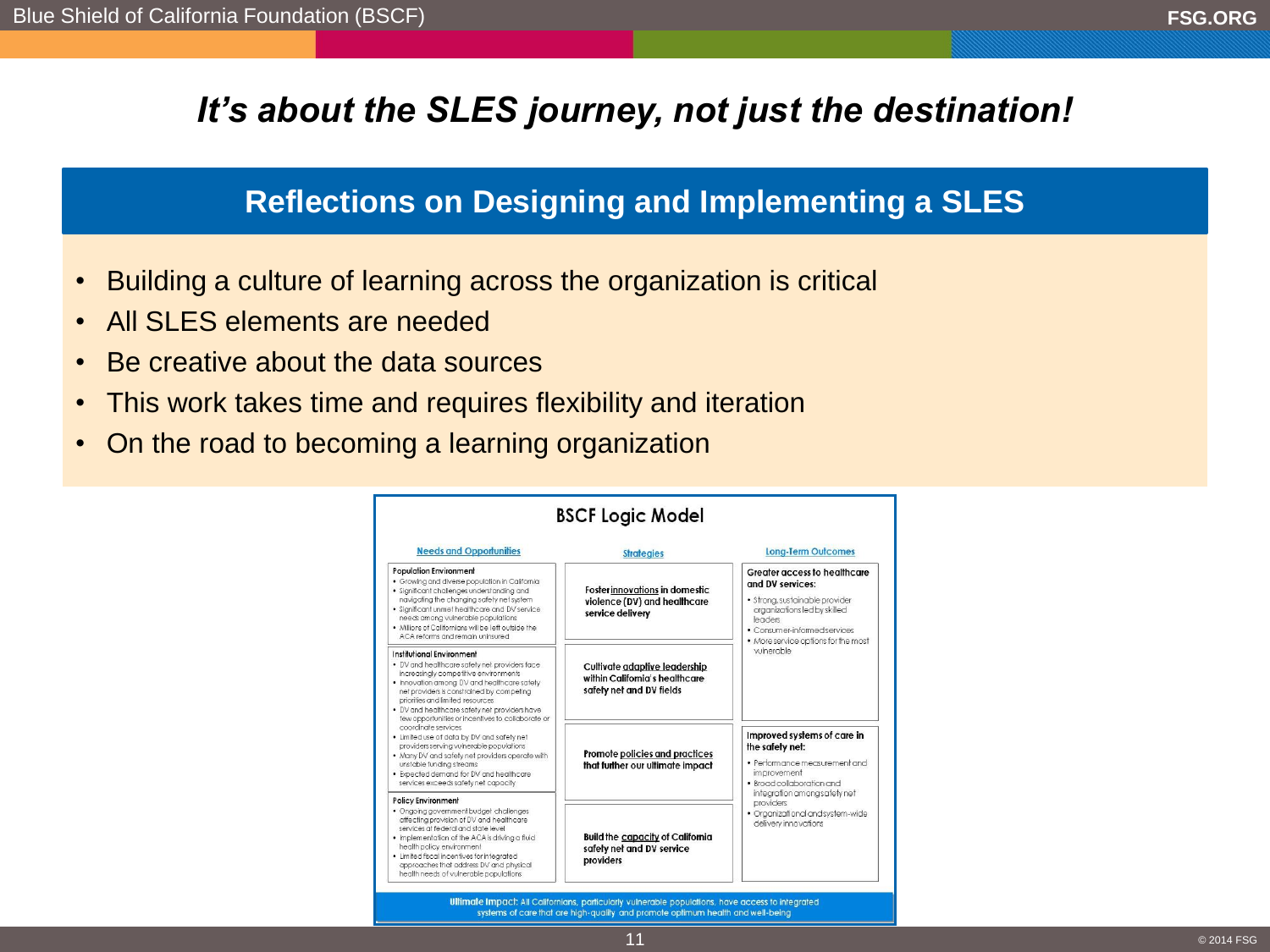# *It's about the SLES journey, not just the destination!*

### **Reflections on Designing and Implementing a SLES**

- Building a culture of learning across the organization is critical
- All SLES elements are needed
- Be creative about the data sources
- This work takes time and requires flexibility and iteration
- On the road to becoming a learning organization

| <b>Needs and Opportunities</b>                                                                                                                                                                                                                                                                                                                                            | <b>Strategies</b>                                                                           | <b>Long-Term Outcomes</b>                                                                                                                                                                            |  |
|---------------------------------------------------------------------------------------------------------------------------------------------------------------------------------------------------------------------------------------------------------------------------------------------------------------------------------------------------------------------------|---------------------------------------------------------------------------------------------|------------------------------------------------------------------------------------------------------------------------------------------------------------------------------------------------------|--|
| <b>Population Environment</b><br>. Growing and diverse population in California<br>· Significant challenges understanding and<br>navigating the changing safety net system<br>· Significant unmet healthcare and DV service<br>needs among vulnerable populations<br>. Millions of Californians will be left outside the<br>ACA reforms and remain uninsured              | Foster innovations in domestic<br>violence (DV) and healthcare<br>service delivery          | Greater access to healthcare<br>and DV services:<br>· Strona, sustainable provider<br>organizations led by skilled<br>leaders<br>· Consumer-informed services<br>. More service options for the most |  |
| Institutional Environment<br>. DV and healthcare safety net providers face<br>increasingly competitive environments<br>. Innovation among DV and healthcare safety<br>net providers is constrained by competing<br>priorities and limited resources<br>. DV and healthcare safety net providers have<br>few opportunities or incentives to collaborate or                 | Cultivate adaptive leadership<br>within California's healthcare<br>safety net and DV fields | vulnerable                                                                                                                                                                                           |  |
| coordinate services<br>. Limited use of data by DV and safety net<br>providers serving vulnerable populations<br>. Many DV and safety net providers operate with<br>unstable funding streams<br>. Expected demand for DV and healthcare<br>services exceeds safety net capacity                                                                                           | Promote policies and practices<br>that further our ultimate impact                          | Improved systems of care in<br>the safety net:<br>· Performance measurement and<br>improvement<br>· Broad collaboration and<br>integration among safety net                                          |  |
| <b>Policy Environment</b><br>· Ongoing government budget challenges<br>affectina provision of DV and healthcare<br>services at federal and state level.<br>. Implementation of the ACA is driving a fluid<br>health policy environment<br>· Limited fiscal incentives for integrated<br>approaches that address DV and physical<br>health needs of vulnerable populations | <b>Build the capacity of California</b><br>safety net and DV service<br>providers           | providers<br>· Organizational and system-wide<br>delivery innovations                                                                                                                                |  |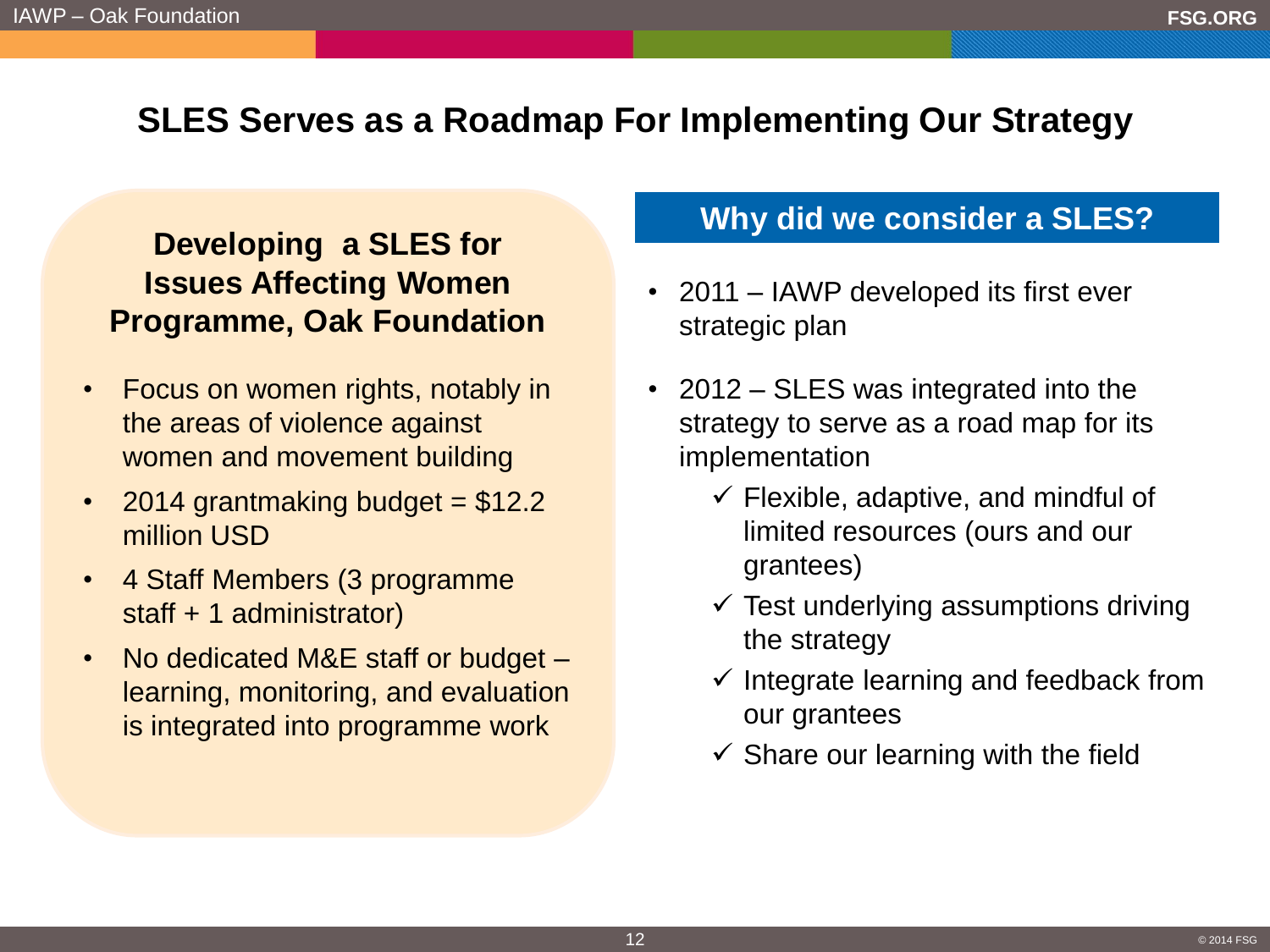# **SLES Serves as a Roadmap For Implementing Our Strategy**

### **Developing a SLES for Issues Affecting Women Programme, Oak Foundation**

- Focus on women rights, notably in the areas of violence against women and movement building
- 2014 grantmaking budget  $= $12.2$ million USD
- 4 Staff Members (3 programme staff + 1 administrator)
- No dedicated M&E staff or budget learning, monitoring, and evaluation is integrated into programme work

### **Why did we consider a SLES?**

- 2011 IAWP developed its first ever strategic plan
- 2012 SLES was integrated into the strategy to serve as a road map for its implementation
	- $\checkmark$  Flexible, adaptive, and mindful of limited resources (ours and our grantees)
	- $\checkmark$  Test underlying assumptions driving the strategy
	- $\checkmark$  Integrate learning and feedback from our grantees
	- $\checkmark$  Share our learning with the field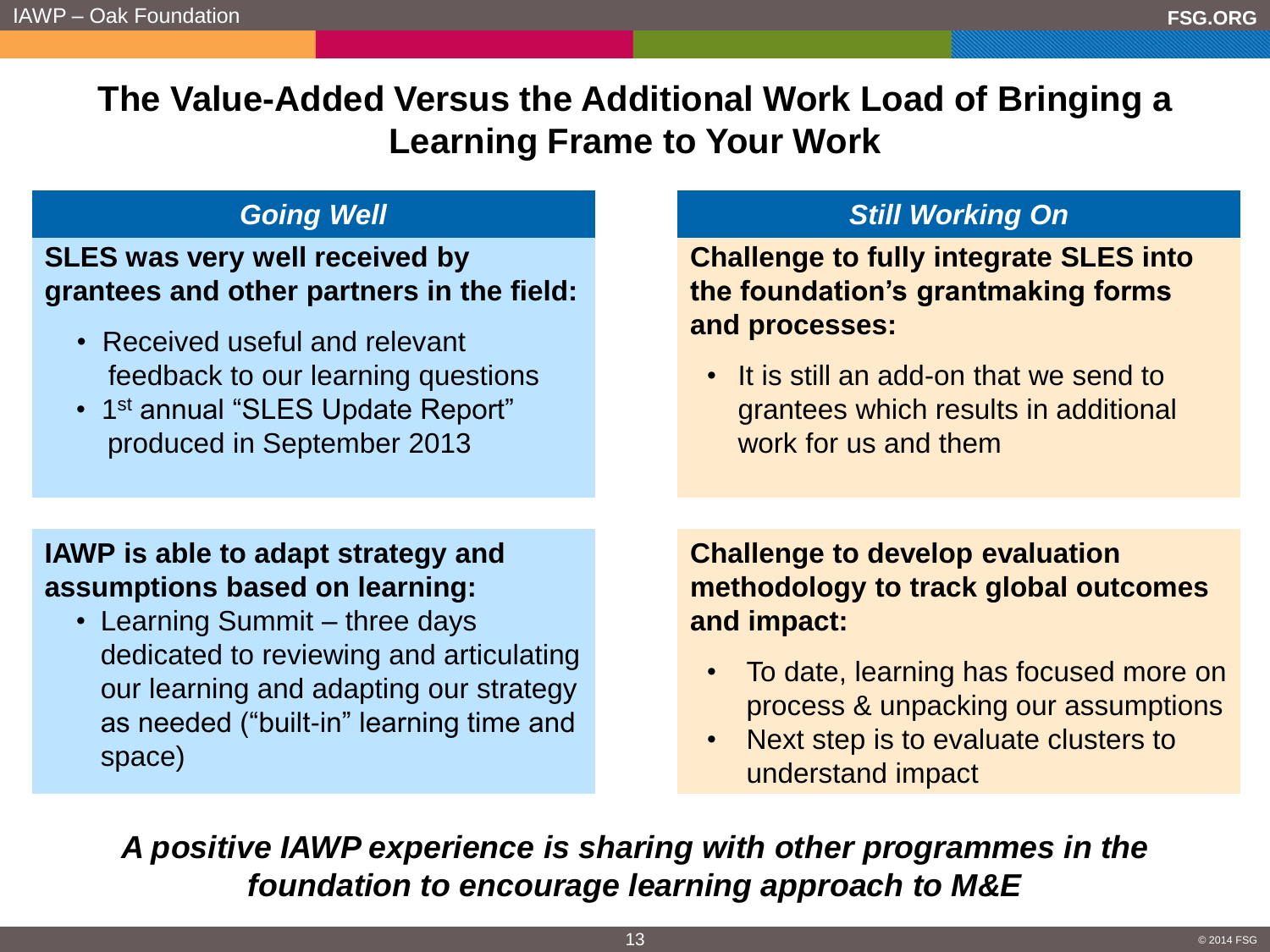**The Value-Added Versus the Additional Work Load of Bringing a Learning Frame to Your Work**

### **SLES was very well received by grantees and other partners in the field:**

- Received useful and relevant feedback to our learning questions
- 1<sup>st</sup> annual "SLES Update Report" produced in September 2013

### **Going Well Still Working On**

**Challenge to fully integrate SLES into the foundation's grantmaking forms and processes:**

• It is still an add-on that we send to grantees which results in additional work for us and them

### **IAWP is able to adapt strategy and assumptions based on learning:**

• Learning Summit – three days dedicated to reviewing and articulating our learning and adapting our strategy as needed ("built-in" learning time and space)

**Challenge to develop evaluation methodology to track global outcomes and impact:**

- To date, learning has focused more on process & unpacking our assumptions
- Next step is to evaluate clusters to understand impact

*A positive IAWP experience is sharing with other programmes in the foundation to encourage learning approach to M&E*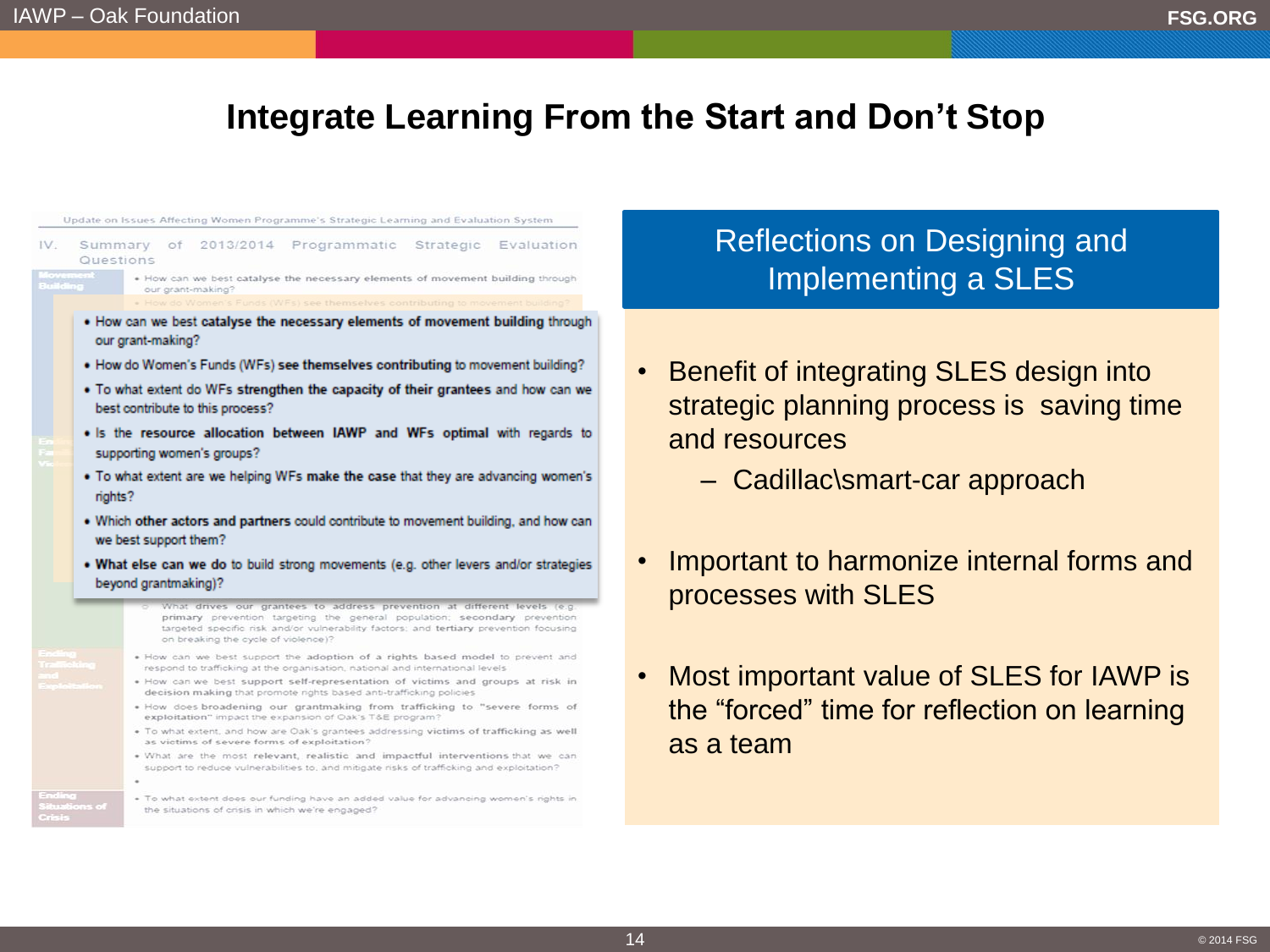### **Integrate Learning From the Start and Don't Stop**

Update on Issues Affecting Women Programme's Strategic Learning and Evaluation System Summary of 2013/2014 Programmatic Strategic Evaluation Questions . How can we best catalyse the necessary elements of movement building through our grant-making? . How can we best catalyse the necessary elements of movement building through our grant-making? . How do Women's Funds (WFs) see themselves contributing to movement building? . To what extent do WFs strengthen the capacity of their grantees and how can we best contribute to this process? . Is the resource allocation between IAWP and WFs optimal with regards to supporting women's groups? . To what extent are we helping WFs make the case that they are advancing women's rights? . Which other actors and partners could contribute to movement building, and how can we best support them? . What else can we do to build strong movements (e.g. other levers and/or strategies beyond grantmaking)? What drives our grantees to address prevention at different levels (e.g. primary prevention targeting the general population; secondary prevention targeted specific risk and/or vulnerability factors; and tertiary prevention focusing on breaking the cycle of violence)? . How can we best support the adoption of a rights based model to prevent and respond to trafficking at the organisation, national and international levels . How can we best support self-representation of victims and groups at risk in decision making that promote rights based anti-trafficking policies . How does broadening our grantmaking from trafficking to "severe forms of exploitation" impact the expansion of Oak's T&E program? . To what extent, and how are Oak's grantees addressing victims of trafficking as well as victims of severe forms of exploitation? . What are the most relevant, realistic and impactful interventions that we can support to reduce vulnerabilities to, and mitigate risks of trafficking and exploitation? . To what extent does our funding have an added value for advancing women's rights in the situations of crisis in which we're engaged?

### Reflections on Designing and Implementing a SLES

- Benefit of integrating SLES design into strategic planning process is saving time and resources
	- Cadillac\smart-car approach
- Important to harmonize internal forms and processes with SLES
- Most important value of SLES for IAWP is the "forced" time for reflection on learning as a team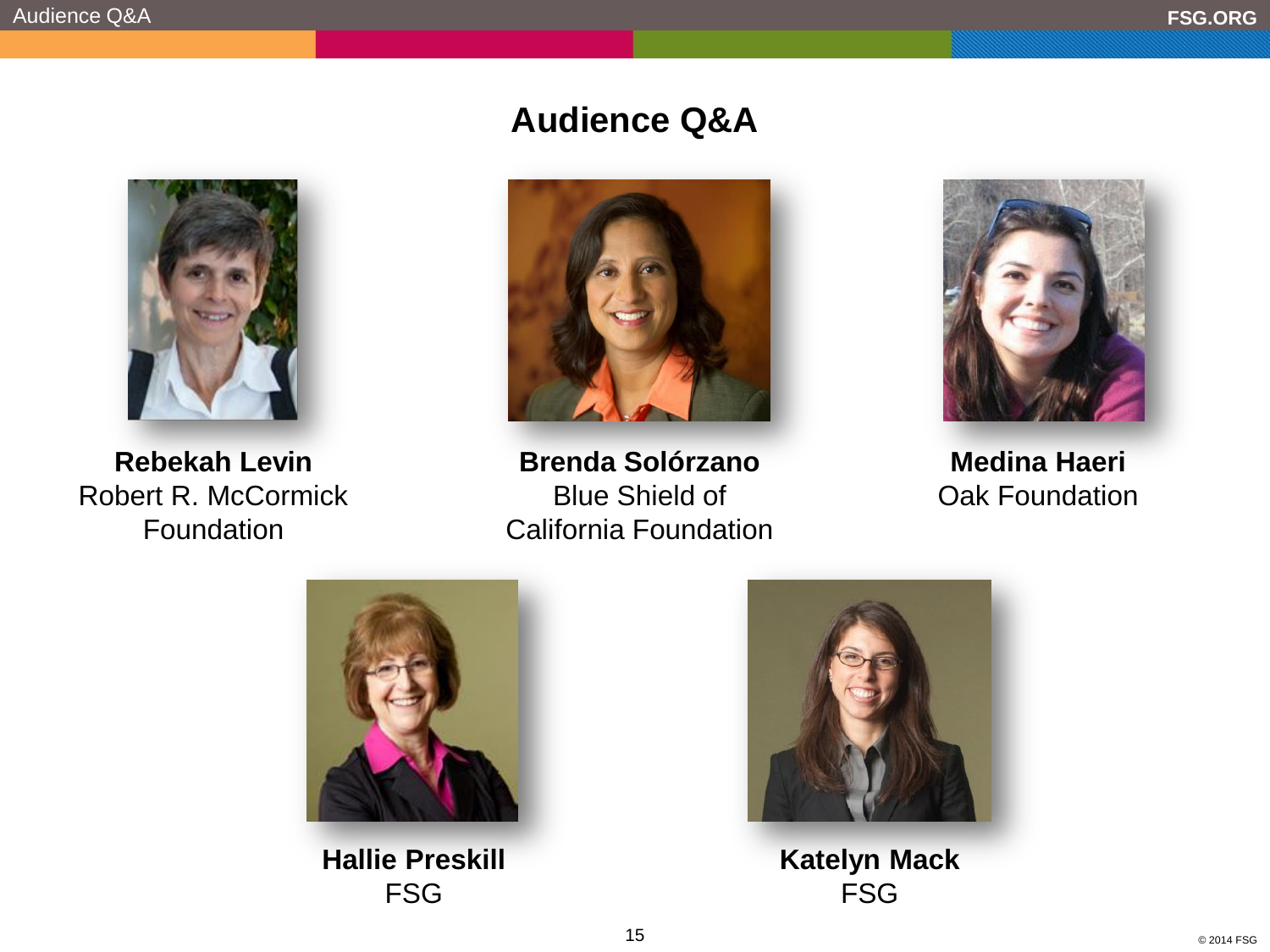

**Rebekah Levin** Robert R. McCormick Foundation

# **Audience Q&A**



**Brenda Solórzano** Blue Shield of California Foundation



**Medina Haeri** Oak Foundation



**Hallie Preskill** FSG



**Katelyn Mack** FSG